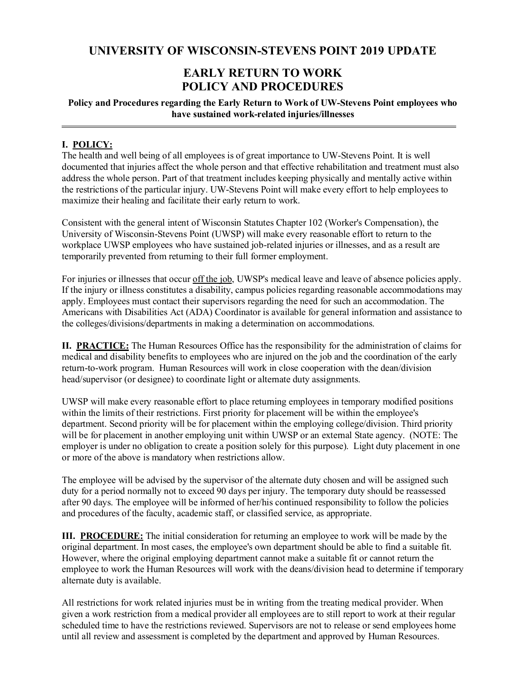# **EARLY RETURN TO WORK POLICY AND PROCEDURES**

## **Policy and Procedures regarding the Early Return to Work of UW-Stevens Point employees who have sustained work-related injuries/illnesses**

# **I. POLICY:**

The health and well being of all employees is of great importance to UW-Stevens Point. It is well documented that injuries affect the whole person and that effective rehabilitation and treatment must also address the whole person. Part of that treatment includes keeping physically and mentally active within the restrictions of the particular injury. UW-Stevens Point will make every effort to help employees to maximize their healing and facilitate their early return to work.

Consistent with the general intent of Wisconsin Statutes Chapter 102 (Worker's Compensation), the University of Wisconsin-Stevens Point (UWSP) will make every reasonable effort to return to the workplace UWSP employees who have sustained job-related injuries or illnesses, and as a result are temporarily prevented from returning to their full former employment.

For injuries or illnesses that occur off the job, UWSP's medical leave and leave of absence policies apply. If the injury or illness constitutes a disability, campus policies regarding reasonable accommodations may apply. Employees must contact their supervisors regarding the need for such an accommodation. The Americans with Disabilities Act (ADA) Coordinator is available for general information and assistance to the colleges/divisions/departments in making a determination on accommodations.

**II. PRACTICE:** The Human Resources Office has the responsibility for the administration of claims for medical and disability benefits to employees who are injured on the job and the coordination of the early return-to-work program. Human Resources will work in close cooperation with the dean/division head/supervisor (or designee) to coordinate light or alternate duty assignments.

UWSP will make every reasonable effort to place returning employees in temporary modified positions within the limits of their restrictions. First priority for placement will be within the employee's department. Second priority will be for placement within the employing college/division. Third priority will be for placement in another employing unit within UWSP or an external State agency. (NOTE: The employer is under no obligation to create a position solely for this purpose). Light duty placement in one or more of the above is mandatory when restrictions allow.

The employee will be advised by the supervisor of the alternate duty chosen and will be assigned such duty for a period normally not to exceed 90 days per injury. The temporary duty should be reassessed after 90 days. The employee will be informed of her/his continued responsibility to follow the policies and procedures of the faculty, academic staff, or classified service, as appropriate.

**III. PROCEDURE:** The initial consideration for returning an employee to work will be made by the original department. In most cases, the employee's own department should be able to find a suitable fit. However, where the original employing department cannot make a suitable fit or cannot return the employee to work the Human Resources will work with the deans/division head to determine if temporary alternate duty is available.

All restrictions for work related injuries must be in writing from the treating medical provider. When given a work restriction from a medical provider all employees are to still report to work at their regular scheduled time to have the restrictions reviewed. Supervisors are not to release or send employees home until all review and assessment is completed by the department and approved by Human Resources.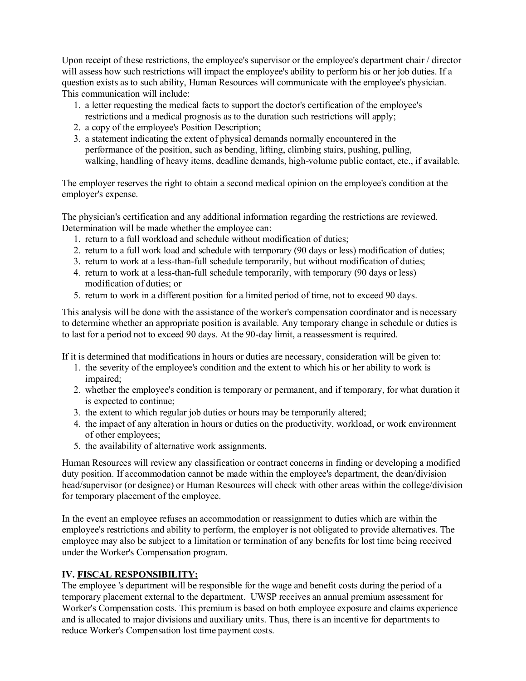Upon receipt of these restrictions, the employee's supervisor or the employee's department chair / director will assess how such restrictions will impact the employee's ability to perform his or her job duties. If a question exists as to such ability, Human Resources will communicate with the employee's physician. This communication will include:

- 1. a letter requesting the medical facts to support the doctor's certification of the employee's restrictions and a medical prognosis as to the duration such restrictions will apply;
- 2. a copy of the employee's Position Description;
- 3. a statement indicating the extent of physical demands normally encountered in the performance of the position, such as bending, lifting, climbing stairs, pushing, pulling, walking, handling of heavy items, deadline demands, high-volume public contact, etc., if available.

The employer reserves the right to obtain a second medical opinion on the employee's condition at the employer's expense.

The physician's certification and any additional information regarding the restrictions are reviewed. Determination will be made whether the employee can:

- 1. return to a full workload and schedule without modification of duties;
- 2. return to a full work load and schedule with temporary (90 days or less) modification of duties;
- 3. return to work at a less-than-full schedule temporarily, but without modification of duties;
- 4. return to work at a less-than-full schedule temporarily, with temporary (90 days or less) modification of duties; or
- 5. return to work in a different position for a limited period of time, not to exceed 90 days.

This analysis will be done with the assistance of the worker's compensation coordinator and is necessary to determine whether an appropriate position is available. Any temporary change in schedule or duties is to last for a period not to exceed 90 days. At the 90-day limit, a reassessment is required.

If it is determined that modifications in hours or duties are necessary, consideration will be given to:

- 1. the severity of the employee's condition and the extent to which his or her ability to work is impaired;
- 2. whether the employee's condition is temporary or permanent, and if temporary, for what duration it is expected to continue;
- 3. the extent to which regular job duties or hours may be temporarily altered;
- 4. the impact of any alteration in hours or duties on the productivity, workload, or work environment of other employees;
- 5. the availability of alternative work assignments.

Human Resources will review any classification or contract concerns in finding or developing a modified duty position. If accommodation cannot be made within the employee's department, the dean/division head/supervisor (or designee) or Human Resources will check with other areas within the college/division for temporary placement of the employee.

In the event an employee refuses an accommodation or reassignment to duties which are within the employee's restrictions and ability to perform, the employer is not obligated to provide alternatives. The employee may also be subject to a limitation or termination of any benefits for lost time being received under the Worker's Compensation program.

## **IV. FISCAL RESPONSIBILITY:**

The employee 's department will be responsible for the wage and benefit costs during the period of a temporary placement external to the department. UWSP receives an annual premium assessment for Worker's Compensation costs. This premium is based on both employee exposure and claims experience and is allocated to major divisions and auxiliary units. Thus, there is an incentive for departments to reduce Worker's Compensation lost time payment costs.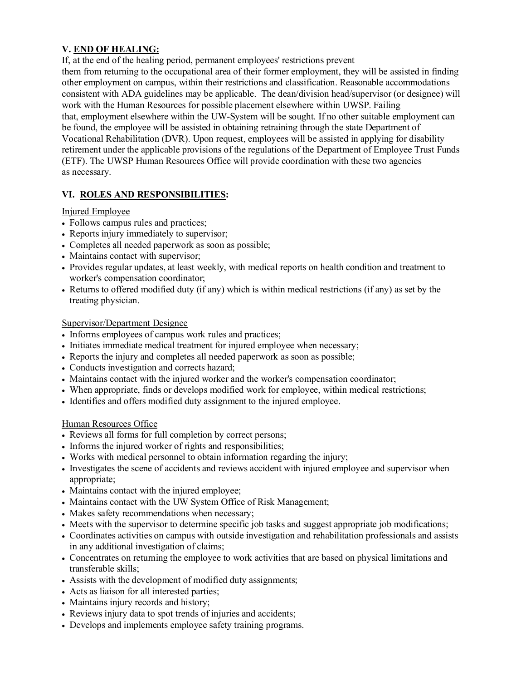# **V. END OF HEALING:**

If, at the end of the healing period, permanent employees' restrictions prevent them from returning to the occupational area of their former employment, they will be assisted in finding other employment on campus, within their restrictions and classification. Reasonable accommodations consistent with ADA guidelines may be applicable. The dean/division head/supervisor (or designee) will work with the Human Resources for possible placement elsewhere within UWSP. Failing that, employment elsewhere within the UW-System will be sought. If no other suitable employment can be found, the employee will be assisted in obtaining retraining through the state Department of Vocational Rehabilitation (DVR). Upon request, employees will be assisted in applying for disability retirement under the applicable provisions of the regulations of the Department of Employee Trust Funds (ETF). The UWSP Human Resources Office will provide coordination with these two agencies as necessary.

# **VI. ROLES AND RESPONSIBILITIES:**

#### Injured Employee

- Follows campus rules and practices;
- Reports injury immediately to supervisor;
- Completes all needed paperwork as soon as possible;
- Maintains contact with supervisor;
- Provides regular updates, at least weekly, with medical reports on health condition and treatment to worker's compensation coordinator;
- Returns to offered modified duty (if any) which is within medical restrictions (if any) as set by the treating physician.

## Supervisor/Department Designee

- Informs employees of campus work rules and practices;
- Initiates immediate medical treatment for injured employee when necessary;
- Reports the injury and completes all needed paperwork as soon as possible;
- Conducts investigation and corrects hazard;
- Maintains contact with the injured worker and the worker's compensation coordinator;
- When appropriate, finds or develops modified work for employee, within medical restrictions;
- Identifies and offers modified duty assignment to the injured employee.

## Human Resources Office

- Reviews all forms for full completion by correct persons;
- Informs the injured worker of rights and responsibilities;
- Works with medical personnel to obtain information regarding the injury;
- Investigates the scene of accidents and reviews accident with injured employee and supervisor when appropriate;
- Maintains contact with the injured employee;
- Maintains contact with the UW System Office of Risk Management;
- Makes safety recommendations when necessary;
- Meets with the supervisor to determine specific job tasks and suggest appropriate job modifications;
- Coordinates activities on campus with outside investigation and rehabilitation professionals and assists in any additional investigation of claims;
- Concentrates on returning the employee to work activities that are based on physical limitations and transferable skills;
- Assists with the development of modified duty assignments;
- Acts as liaison for all interested parties;
- Maintains injury records and history;
- Reviews injury data to spot trends of injuries and accidents;
- Develops and implements employee safety training programs.